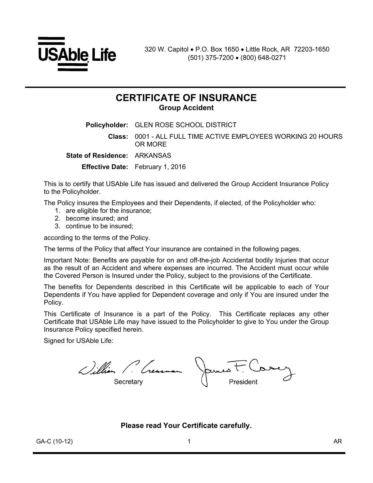

# **CERTIFICATE OF INSURANCE Group Accident**

**Policyholder:** GLEN ROSE SCHOOL DISTRICT **Class:** 0001 - ALL FULL TIME ACTIVE EMPLOYEES WORKING 20 HOURS OR MORE **State of Residence:** ARKANSAS **Effective Date:** February 1, 2016

This is to certify that USAble Life has issued and delivered the Group Accident Insurance Policy to the Policyholder.

The Policy insures the Employees and their Dependents, if elected, of the Policyholder who:

- 1. are eligible for the insurance;
- 2. become insured; and
- 3. continue to be insured;

according to the terms of the Policy.

The terms of the Policy that affect Your insurance are contained in the following pages.

Important Note: Benefits are payable for on and off-the-job Accidental bodily Injuries that occur as the result of an Accident and where expenses are incurred. The Accident must occur while the Covered Person is Insured under the Policy, subject to the provisions of the Certificate.

The benefits for Dependents described in this Certificate will be applicable to each of Your Dependents if You have applied for Dependent coverage and only if You are insured under the Policy.

This Certificate of Insurance is a part of the Policy. This Certificate replaces any other Certificate that USAble Life may have issued to the Policyholder to give to You under the Group Insurance Policy specified herein.

Signed for USAble Life:

William P. Crearman James F. Corey

**Please read Your Certificate carefully.**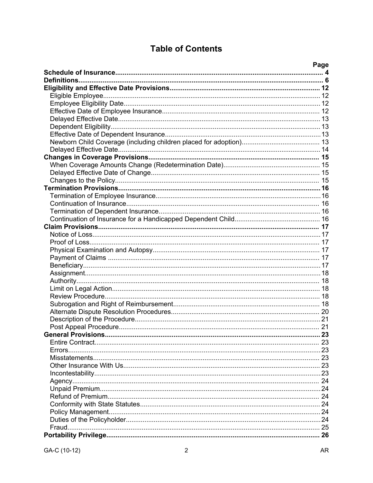# **Table of Contents**

| Page |
|------|
|      |
|      |
|      |
|      |
|      |
|      |
|      |
|      |
|      |
|      |
|      |
|      |
|      |
|      |
|      |
|      |
|      |
|      |
|      |
|      |
|      |
|      |
|      |
|      |
|      |
|      |
|      |
|      |
|      |
|      |
|      |
|      |
|      |
|      |
|      |
|      |
|      |
|      |
|      |
|      |
|      |
|      |
|      |
|      |
|      |
|      |
|      |
|      |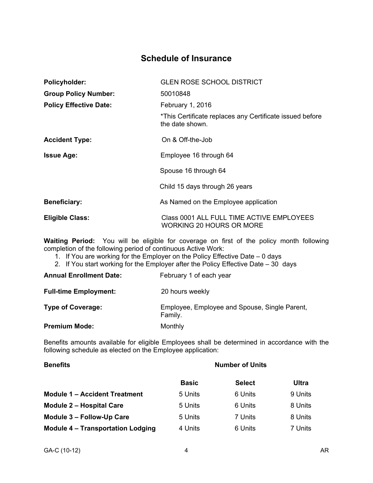# **Schedule of Insurance**

| <b>Policyholder:</b>          | <b>GLEN ROSE SCHOOL DISTRICT</b>                                            |
|-------------------------------|-----------------------------------------------------------------------------|
| <b>Group Policy Number:</b>   | 50010848                                                                    |
| <b>Policy Effective Date:</b> | February 1, 2016                                                            |
|                               | *This Certificate replaces any Certificate issued before<br>the date shown. |
| <b>Accident Type:</b>         | On & Off-the-Job                                                            |
| <b>Issue Age:</b>             | Employee 16 through 64                                                      |
|                               | Spouse 16 through 64                                                        |
|                               | Child 15 days through 26 years                                              |
| <b>Beneficiary:</b>           | As Named on the Employee application                                        |
| <b>Eligible Class:</b>        | Class 0001 ALL FULL TIME ACTIVE EMPLOYEES<br>WORKING 20 HOURS OR MORE       |

**Waiting Period:** You will be eligible for coverage on first of the policy month following completion of the following period of continuous Active Work:

- 1. If You are working for the Employer on the Policy Effective Date 0 days
- 2. If You start working for the Employer after the Policy Effective Date 30 days

| <b>Annual Enrollment Date:</b> | February 1 of each year                                  |
|--------------------------------|----------------------------------------------------------|
| <b>Full-time Employment:</b>   | 20 hours weekly                                          |
| <b>Type of Coverage:</b>       | Employee, Employee and Spouse, Single Parent,<br>Family. |
| <b>Premium Mode:</b>           | Monthly                                                  |

Benefits amounts available for eligible Employees shall be determined in accordance with the following schedule as elected on the Employee application:

| <b>Benefits</b>                          | <b>Number of Units</b> |               |         |
|------------------------------------------|------------------------|---------------|---------|
|                                          | <b>Basic</b>           | <b>Select</b> | Ultra   |
| <b>Module 1 – Accident Treatment</b>     | 5 Units                | 6 Units       | 9 Units |
| <b>Module 2 - Hospital Care</b>          | 5 Units                | 6 Units       | 8 Units |
| Module 3 - Follow-Up Care                | 5 Units                | 7 Units       | 8 Units |
| <b>Module 4 - Transportation Lodging</b> | 4 Units                | 6 Units       | 7 Units |
|                                          |                        |               |         |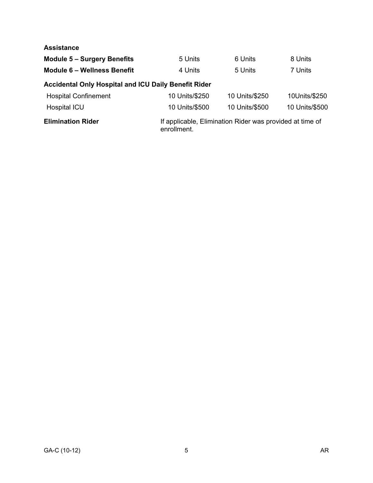### **Assistance**

| <b>Module 5 - Surgery Benefits</b>                          | 5 Units        | 6 Units                                                  | 8 Units        |
|-------------------------------------------------------------|----------------|----------------------------------------------------------|----------------|
| Module 6 - Wellness Benefit                                 | 4 Units        | 5 Units                                                  | 7 Units        |
| <b>Accidental Only Hospital and ICU Daily Benefit Rider</b> |                |                                                          |                |
| <b>Hospital Confinement</b>                                 | 10 Units/\$250 | 10 Units/\$250                                           | 10Units/\$250  |
| Hospital ICU                                                | 10 Units/\$500 | 10 Units/\$500                                           | 10 Units/\$500 |
| <b>Elimination Rider</b>                                    | enrollment.    | If applicable, Elimination Rider was provided at time of |                |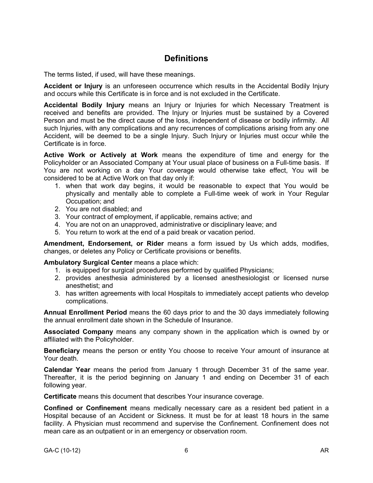# **Definitions**

The terms listed, if used, will have these meanings.

**Accident or Injury** is an unforeseen occurrence which results in the Accidental Bodily Injury and occurs while this Certificate is in force and is not excluded in the Certificate.

**Accidental Bodily Injury** means an Injury or Injuries for which Necessary Treatment is received and benefits are provided. The Injury or Injuries must be sustained by a Covered Person and must be the direct cause of the loss, independent of disease or bodily infirmity. All such Injuries, with any complications and any recurrences of complications arising from any one Accident, will be deemed to be a single Injury. Such Injury or Injuries must occur while the Certificate is in force.

**Active Work or Actively at Work** means the expenditure of time and energy for the Policyholder or an Associated Company at Your usual place of business on a Full-time basis. If You are not working on a day Your coverage would otherwise take effect, You will be considered to be at Active Work on that day only if:

- 1. when that work day begins, it would be reasonable to expect that You would be physically and mentally able to complete a Full-time week of work in Your Regular Occupation; and
- 2. You are not disabled; and
- 3. Your contract of employment, if applicable, remains active; and
- 4. You are not on an unapproved, administrative or disciplinary leave; and
- 5. You return to work at the end of a paid break or vacation period.

**Amendment, Endorsement, or Rider** means a form issued by Us which adds, modifies, changes, or deletes any Policy or Certificate provisions or benefits.

### **Ambulatory Surgical Center** means a place which:

- 1. is equipped for surgical procedures performed by qualified Physicians;
- 2. provides anesthesia administered by a licensed anesthesiologist or licensed nurse anesthetist; and
- 3. has written agreements with local Hospitals to immediately accept patients who develop complications.

**Annual Enrollment Period** means the 60 days prior to and the 30 days immediately following the annual enrollment date shown in the Schedule of Insurance.

**Associated Company** means any company shown in the application which is owned by or affiliated with the Policyholder.

**Beneficiary** means the person or entity You choose to receive Your amount of insurance at Your death.

**Calendar Year** means the period from January 1 through December 31 of the same year. Thereafter, it is the period beginning on January 1 and ending on December 31 of each following year.

**Certificate** means this document that describes Your insurance coverage.

**Confined or Confinement** means medically necessary care as a resident bed patient in a Hospital because of an Accident or Sickness. It must be for at least 18 hours in the same facility. A Physician must recommend and supervise the Confinement. Confinement does not mean care as an outpatient or in an emergency or observation room.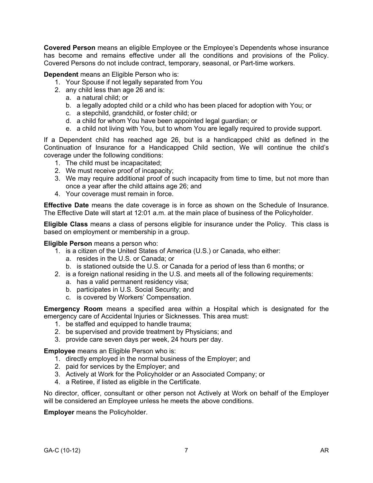**Covered Person** means an eligible Employee or the Employee's Dependents whose insurance has become and remains effective under all the conditions and provisions of the Policy. Covered Persons do not include contract, temporary, seasonal, or Part-time workers.

**Dependent** means an Eligible Person who is:

- 1. Your Spouse if not legally separated from You
- 2. any child less than age 26 and is:
	- a. a natural child; or
	- b. a legally adopted child or a child who has been placed for adoption with You; or
	- c. a stepchild, grandchild, or foster child; or
	- d. a child for whom You have been appointed legal guardian; or
	- e. a child not living with You, but to whom You are legally required to provide support.

If a Dependent child has reached age 26, but is a handicapped child as defined in the Continuation of Insurance for a Handicapped Child section, We will continue the child's coverage under the following conditions:

- 1. The child must be incapacitated;
- 2. We must receive proof of incapacity;
- 3. We may require additional proof of such incapacity from time to time, but not more than once a year after the child attains age 26; and
- 4. Your coverage must remain in force.

**Effective Date** means the date coverage is in force as shown on the Schedule of Insurance. The Effective Date will start at 12:01 a.m. at the main place of business of the Policyholder.

**Eligible Class** means a class of persons eligible for insurance under the Policy. This class is based on employment or membership in a group.

#### **Eligible Person** means a person who:

- 1. is a citizen of the United States of America (U.S.) or Canada, who either:
	- a. resides in the U.S. or Canada; or
	- b. is stationed outside the U.S. or Canada for a period of less than 6 months; or
- 2. is a foreign national residing in the U.S. and meets all of the following requirements:
	- a. has a valid permanent residency visa;
	- b. participates in U.S. Social Security; and
	- c. is covered by Workers' Compensation.

**Emergency Room** means a specified area within a Hospital which is designated for the emergency care of Accidental Injuries or Sicknesses. This area must:

- 1. be staffed and equipped to handle trauma;
- 2. be supervised and provide treatment by Physicians; and
- 3. provide care seven days per week, 24 hours per day.

**Employee** means an Eligible Person who is:

- 1. directly employed in the normal business of the Employer; and
- 2. paid for services by the Employer; and
- 3. Actively at Work for the Policyholder or an Associated Company; or
- 4. a Retiree, if listed as eligible in the Certificate.

No director, officer, consultant or other person not Actively at Work on behalf of the Employer will be considered an Employee unless he meets the above conditions.

**Employer** means the Policyholder.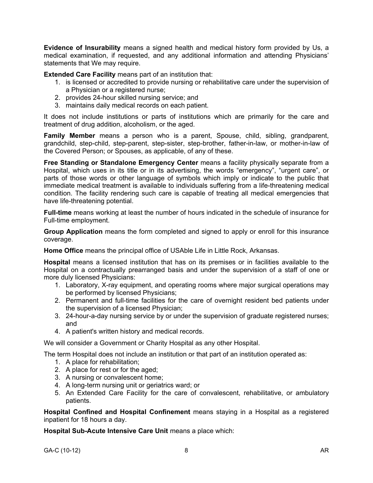**Evidence of Insurability** means a signed health and medical history form provided by Us, a medical examination, if requested, and any additional information and attending Physicians' statements that We may require.

**Extended Care Facility** means part of an institution that:

- 1. is licensed or accredited to provide nursing or rehabilitative care under the supervision of a Physician or a registered nurse;
- 2. provides 24-hour skilled nursing service; and
- 3. maintains daily medical records on each patient.

It does not include institutions or parts of institutions which are primarily for the care and treatment of drug addition, alcoholism, or the aged.

**Family Member** means a person who is a parent, Spouse, child, sibling, grandparent, grandchild, step-child, step-parent, step-sister, step-brother, father-in-law, or mother-in-law of the Covered Person; or Spouses, as applicable, of any of these.

**Free Standing or Standalone Emergency Center** means a facility physically separate from a Hospital, which uses in its title or in its advertising, the words "emergency", "urgent care", or parts of those words or other language of symbols which imply or indicate to the public that immediate medical treatment is available to individuals suffering from a life-threatening medical condition. The facility rendering such care is capable of treating all medical emergencies that have life-threatening potential.

**Full-time** means working at least the number of hours indicated in the schedule of insurance for Full-time employment.

**Group Application** means the form completed and signed to apply or enroll for this insurance coverage.

**Home Office** means the principal office of USAble Life in Little Rock, Arkansas.

**Hospital** means a licensed institution that has on its premises or in facilities available to the Hospital on a contractually prearranged basis and under the supervision of a staff of one or more duly licensed Physicians:

- 1. Laboratory, X-ray equipment, and operating rooms where major surgical operations may be performed by licensed Physicians;
- 2. Permanent and full-time facilities for the care of overnight resident bed patients under the supervision of a licensed Physician;
- 3. 24-hour-a-day nursing service by or under the supervision of graduate registered nurses; and
- 4. A patient's written history and medical records.

We will consider a Government or Charity Hospital as any other Hospital.

The term Hospital does not include an institution or that part of an institution operated as:

- 1. A place for rehabilitation;
- 2. A place for rest or for the aged;
- 3. A nursing or convalescent home;
- 4. A long-term nursing unit or geriatrics ward; or
- 5. An Extended Care Facility for the care of convalescent, rehabilitative, or ambulatory patients.

**Hospital Confined and Hospital Confinement** means staying in a Hospital as a registered inpatient for 18 hours a day.

**Hospital Sub-Acute Intensive Care Unit** means a place which: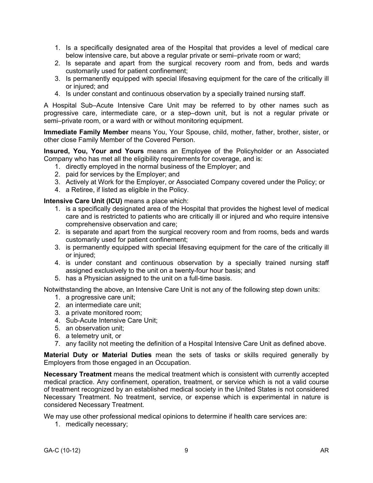- 1. Is a specifically designated area of the Hospital that provides a level of medical care below intensive care, but above a regular private or semi–private room or ward;
- 2. Is separate and apart from the surgical recovery room and from, beds and wards customarily used for patient confinement;
- 3. Is permanently equipped with special lifesaving equipment for the care of the critically ill or injured; and
- 4. Is under constant and continuous observation by a specially trained nursing staff.

A Hospital Sub–Acute Intensive Care Unit may be referred to by other names such as progressive care, intermediate care, or a step–down unit, but is not a regular private or semi–private room, or a ward with or without monitoring equipment.

**Immediate Family Member** means You, Your Spouse, child, mother, father, brother, sister, or other close Family Member of the Covered Person.

**Insured, You, Your and Yours** means an Employee of the Policyholder or an Associated Company who has met all the eligibility requirements for coverage, and is:

- 1. directly employed in the normal business of the Employer; and
- 2. paid for services by the Employer; and
- 3. Actively at Work for the Employer, or Associated Company covered under the Policy; or
- 4. a Retiree, if listed as eligible in the Policy.

**Intensive Care Unit (ICU)** means a place which:

- 1. is a specifically designated area of the Hospital that provides the highest level of medical care and is restricted to patients who are critically ill or injured and who require intensive comprehensive observation and care;
- 2. is separate and apart from the surgical recovery room and from rooms, beds and wards customarily used for patient confinement;
- 3. is permanently equipped with special lifesaving equipment for the care of the critically ill or injured;
- 4. is under constant and continuous observation by a specially trained nursing staff assigned exclusively to the unit on a twenty-four hour basis; and
- 5. has a Physician assigned to the unit on a full-time basis.

Notwithstanding the above, an Intensive Care Unit is not any of the following step down units:

- 1. a progressive care unit;
- 2. an intermediate care unit;
- 3. a private monitored room;
- 4. Sub-Acute Intensive Care Unit;
- 5. an observation unit;
- 6. a telemetry unit, or
- 7. any facility not meeting the definition of a Hospital Intensive Care Unit as defined above.

**Material Duty or Material Duties** mean the sets of tasks or skills required generally by Employers from those engaged in an Occupation.

**Necessary Treatment** means the medical treatment which is consistent with currently accepted medical practice. Any confinement, operation, treatment, or service which is not a valid course of treatment recognized by an established medical society in the United States is not considered Necessary Treatment. No treatment, service, or expense which is experimental in nature is considered Necessary Treatment.

We may use other professional medical opinions to determine if health care services are:

1. medically necessary;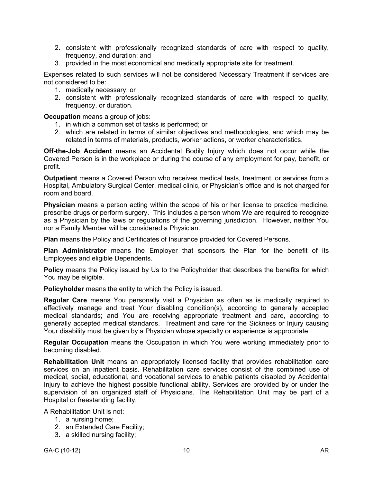- 2. consistent with professionally recognized standards of care with respect to quality, frequency, and duration; and
- 3. provided in the most economical and medically appropriate site for treatment.

Expenses related to such services will not be considered Necessary Treatment if services are not considered to be:

- 1. medically necessary; or
- 2. consistent with professionally recognized standards of care with respect to quality, frequency, or duration.

**Occupation** means a group of jobs:

- 1. in which a common set of tasks is performed; or
- 2. which are related in terms of similar objectives and methodologies, and which may be related in terms of materials, products, worker actions, or worker characteristics.

**Off-the-Job Accident** means an Accidental Bodily Injury which does not occur while the Covered Person is in the workplace or during the course of any employment for pay, benefit, or profit.

**Outpatient** means a Covered Person who receives medical tests, treatment, or services from a Hospital, Ambulatory Surgical Center, medical clinic, or Physician's office and is not charged for room and board.

**Physician** means a person acting within the scope of his or her license to practice medicine, prescribe drugs or perform surgery. This includes a person whom We are required to recognize as a Physician by the laws or regulations of the governing jurisdiction. However, neither You nor a Family Member will be considered a Physician.

**Plan** means the Policy and Certificates of Insurance provided for Covered Persons.

**Plan Administrator** means the Employer that sponsors the Plan for the benefit of its Employees and eligible Dependents.

**Policy** means the Policy issued by Us to the Policyholder that describes the benefits for which You may be eligible.

**Policyholder** means the entity to which the Policy is issued.

**Regular Care** means You personally visit a Physician as often as is medically required to effectively manage and treat Your disabling condition(s), according to generally accepted medical standards; and You are receiving appropriate treatment and care, according to generally accepted medical standards. Treatment and care for the Sickness or Injury causing Your disability must be given by a Physician whose specialty or experience is appropriate.

**Regular Occupation** means the Occupation in which You were working immediately prior to becoming disabled.

**Rehabilitation Unit** means an appropriately licensed facility that provides rehabilitation care services on an inpatient basis. Rehabilitation care services consist of the combined use of medical, social, educational, and vocational services to enable patients disabled by Accidental Injury to achieve the highest possible functional ability. Services are provided by or under the supervision of an organized staff of Physicians. The Rehabilitation Unit may be part of a Hospital or freestanding facility.

A Rehabilitation Unit is not:

- 1. a nursing home;
- 2. an Extended Care Facility;
- 3. a skilled nursing facility;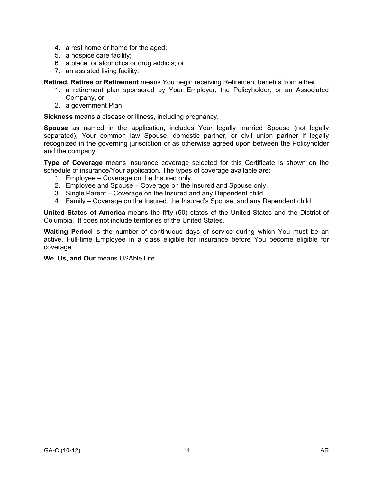- 4. a rest home or home for the aged;
- 5. a hospice care facility;
- 6. a place for alcoholics or drug addicts; or
- 7. an assisted living facility.

**Retired, Retiree or Retirement** means You begin receiving Retirement benefits from either:

- 1. a retirement plan sponsored by Your Employer, the Policyholder, or an Associated Company, or
- 2. a government Plan.

**Sickness** means a disease or illness, including pregnancy.

**Spouse** as named in the application, includes Your legally married Spouse (not legally separated), Your common law Spouse, domestic partner, or civil union partner if legally recognized in the governing jurisdiction or as otherwise agreed upon between the Policyholder and the company.

**Type of Coverage** means insurance coverage selected for this Certificate is shown on the schedule of insurance/Your application. The types of coverage available are:

- 1. Employee Coverage on the Insured only.
- 2. Employee and Spouse Coverage on the Insured and Spouse only.
- 3. Single Parent Coverage on the Insured and any Dependent child.
- 4. Family Coverage on the Insured, the Insured's Spouse, and any Dependent child.

**United States of America** means the fifty (50) states of the United States and the District of Columbia. It does not include territories of the United States.

**Waiting Period** is the number of continuous days of service during which You must be an active, Full-time Employee in a class eligible for insurance before You become eligible for coverage.

**We, Us, and Our** means USAble Life.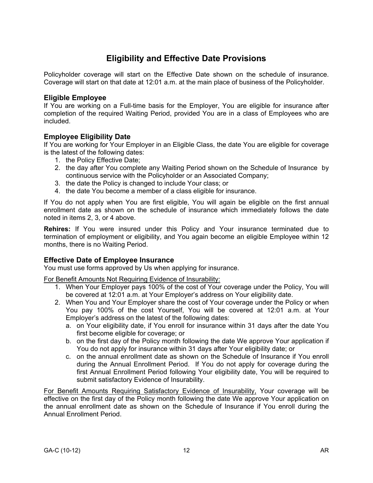# **Eligibility and Effective Date Provisions**

Policyholder coverage will start on the Effective Date shown on the schedule of insurance. Coverage will start on that date at 12:01 a.m. at the main place of business of the Policyholder.

# **Eligible Employee**

If You are working on a Full-time basis for the Employer, You are eligible for insurance after completion of the required Waiting Period, provided You are in a class of Employees who are included.

# **Employee Eligibility Date**

If You are working for Your Employer in an Eligible Class, the date You are eligible for coverage is the latest of the following dates:

- 1. the Policy Effective Date;
- 2. the day after You complete any Waiting Period shown on the Schedule of Insurance by continuous service with the Policyholder or an Associated Company;
- 3. the date the Policy is changed to include Your class; or
- 4. the date You become a member of a class eligible for insurance.

If You do not apply when You are first eligible, You will again be eligible on the first annual enrollment date as shown on the schedule of insurance which immediately follows the date noted in items 2, 3, or 4 above.

**Rehires:** If You were insured under this Policy and Your insurance terminated due to termination of employment or eligibility, and You again become an eligible Employee within 12 months, there is no Waiting Period.

# **Effective Date of Employee Insurance**

You must use forms approved by Us when applying for insurance.

For Benefit Amounts Not Requiring Evidence of Insurability:

- 1. When Your Employer pays 100% of the cost of Your coverage under the Policy, You will be covered at 12:01 a.m. at Your Employer's address on Your eligibility date.
- 2. When You and Your Employer share the cost of Your coverage under the Policy or when You pay 100% of the cost Yourself, You will be covered at 12:01 a.m. at Your Employer's address on the latest of the following dates:
	- a. on Your eligibility date, if You enroll for insurance within 31 days after the date You first become eligible for coverage; or
	- b. on the first day of the Policy month following the date We approve Your application if You do not apply for insurance within 31 days after Your eligibility date; or
	- c. on the annual enrollment date as shown on the Schedule of Insurance if You enroll during the Annual Enrollment Period. If You do not apply for coverage during the first Annual Enrollment Period following Your eligibility date, You will be required to submit satisfactory Evidence of Insurability.

For Benefit Amounts Requiring Satisfactory Evidence of Insurability, Your coverage will be effective on the first day of the Policy month following the date We approve Your application on the annual enrollment date as shown on the Schedule of Insurance if You enroll during the Annual Enrollment Period.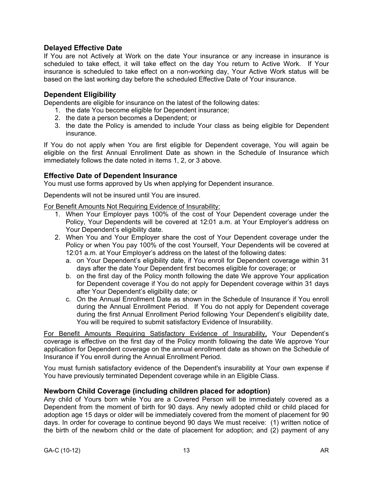# **Delayed Effective Date**

If You are not Actively at Work on the date Your insurance or any increase in insurance is scheduled to take effect, it will take effect on the day You return to Active Work. If Your insurance is scheduled to take effect on a non-working day, Your Active Work status will be based on the last working day before the scheduled Effective Date of Your insurance.

# **Dependent Eligibility**

Dependents are eligible for insurance on the latest of the following dates:

- 1. the date You become eligible for Dependent insurance;
- 2. the date a person becomes a Dependent; or
- 3. the date the Policy is amended to include Your class as being eligible for Dependent insurance.

If You do not apply when You are first eligible for Dependent coverage, You will again be eligible on the first Annual Enrollment Date as shown in the Schedule of Insurance which immediately follows the date noted in items 1, 2, or 3 above.

### **Effective Date of Dependent Insurance**

You must use forms approved by Us when applying for Dependent insurance.

Dependents will not be insured until You are insured.

For Benefit Amounts Not Requiring Evidence of Insurability:

- 1. When Your Employer pays 100% of the cost of Your Dependent coverage under the Policy, Your Dependents will be covered at 12:01 a.m. at Your Employer's address on Your Dependent's eligibility date.
- 2. When You and Your Employer share the cost of Your Dependent coverage under the Policy or when You pay 100% of the cost Yourself, Your Dependents will be covered at 12:01 a.m. at Your Employer's address on the latest of the following dates:
	- a. on Your Dependent's eligibility date, if You enroll for Dependent coverage within 31 days after the date Your Dependent first becomes eligible for coverage; or
	- b. on the first day of the Policy month following the date We approve Your application for Dependent coverage if You do not apply for Dependent coverage within 31 days after Your Dependent's eligibility date; or
	- c. On the Annual Enrollment Date as shown in the Schedule of Insurance if You enroll during the Annual Enrollment Period. If You do not apply for Dependent coverage during the first Annual Enrollment Period following Your Dependent's eligibility date, You will be required to submit satisfactory Evidence of Insurability.

For Benefit Amounts Requiring Satisfactory Evidence of Insurability, Your Dependent's coverage is effective on the first day of the Policy month following the date We approve Your application for Dependent coverage on the annual enrollment date as shown on the Schedule of Insurance if You enroll during the Annual Enrollment Period.

You must furnish satisfactory evidence of the Dependent's insurability at Your own expense if You have previously terminated Dependent coverage while in an Eligible Class.

### **Newborn Child Coverage (including children placed for adoption)**

Any child of Yours born while You are a Covered Person will be immediately covered as a Dependent from the moment of birth for 90 days. Any newly adopted child or child placed for adoption age 15 days or older will be immediately covered from the moment of placement for 90 days. In order for coverage to continue beyond 90 days We must receive: (1) written notice of the birth of the newborn child or the date of placement for adoption; and (2) payment of any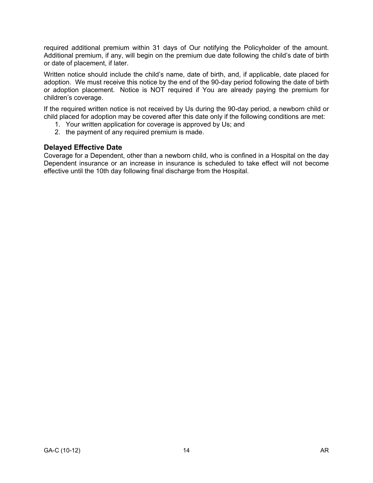required additional premium within 31 days of Our notifying the Policyholder of the amount. Additional premium, if any, will begin on the premium due date following the child's date of birth or date of placement, if later.

Written notice should include the child's name, date of birth, and, if applicable, date placed for adoption. We must receive this notice by the end of the 90-day period following the date of birth or adoption placement. Notice is NOT required if You are already paying the premium for children's coverage.

If the required written notice is not received by Us during the 90-day period, a newborn child or child placed for adoption may be covered after this date only if the following conditions are met:

- 1. Your written application for coverage is approved by Us; and
- 2. the payment of any required premium is made.

### **Delayed Effective Date**

Coverage for a Dependent, other than a newborn child, who is confined in a Hospital on the day Dependent insurance or an increase in insurance is scheduled to take effect will not become effective until the 10th day following final discharge from the Hospital.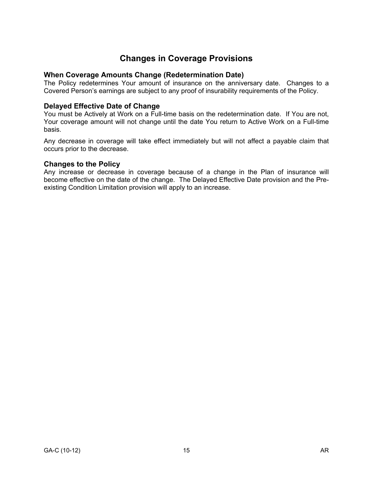# **Changes in Coverage Provisions**

# **When Coverage Amounts Change (Redetermination Date)**

The Policy redetermines Your amount of insurance on the anniversary date. Changes to a Covered Person's earnings are subject to any proof of insurability requirements of the Policy.

### **Delayed Effective Date of Change**

You must be Actively at Work on a Full-time basis on the redetermination date. If You are not, Your coverage amount will not change until the date You return to Active Work on a Full-time basis.

Any decrease in coverage will take effect immediately but will not affect a payable claim that occurs prior to the decrease.

### **Changes to the Policy**

Any increase or decrease in coverage because of a change in the Plan of insurance will become effective on the date of the change. The Delayed Effective Date provision and the Preexisting Condition Limitation provision will apply to an increase.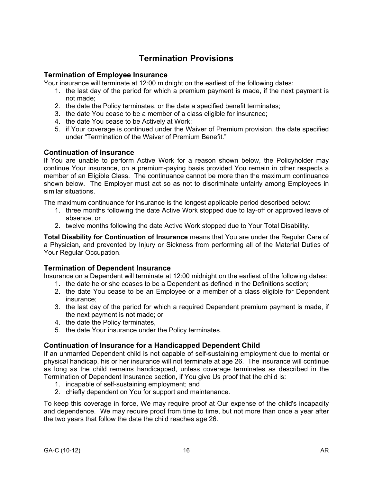# **Termination Provisions**

# **Termination of Employee Insurance**

Your insurance will terminate at 12:00 midnight on the earliest of the following dates:

- 1. the last day of the period for which a premium payment is made, if the next payment is not made;
- 2. the date the Policy terminates, or the date a specified benefit terminates;
- 3. the date You cease to be a member of a class eligible for insurance;
- 4. the date You cease to be Actively at Work;
- 5. if Your coverage is continued under the Waiver of Premium provision, the date specified under "Termination of the Waiver of Premium Benefit."

### **Continuation of Insurance**

If You are unable to perform Active Work for a reason shown below, the Policyholder may continue Your insurance, on a premium-paying basis provided You remain in other respects a member of an Eligible Class. The continuance cannot be more than the maximum continuance shown below. The Employer must act so as not to discriminate unfairly among Employees in similar situations.

The maximum continuance for insurance is the longest applicable period described below:

- 1. three months following the date Active Work stopped due to lay-off or approved leave of absence, or
- 2. twelve months following the date Active Work stopped due to Your Total Disability.

**Total Disability for Continuation of Insurance** means that You are under the Regular Care of a Physician, and prevented by Injury or Sickness from performing all of the Material Duties of Your Regular Occupation.

# **Termination of Dependent Insurance**

Insurance on a Dependent will terminate at 12:00 midnight on the earliest of the following dates:

- 1. the date he or she ceases to be a Dependent as defined in the Definitions section;
- 2. the date You cease to be an Employee or a member of a class eligible for Dependent insurance;
- 3. the last day of the period for which a required Dependent premium payment is made, if the next payment is not made; or
- 4. the date the Policy terminates,
- 5. the date Your insurance under the Policy terminates.

# **Continuation of Insurance for a Handicapped Dependent Child**

If an unmarried Dependent child is not capable of self-sustaining employment due to mental or physical handicap, his or her insurance will not terminate at age 26. The insurance will continue as long as the child remains handicapped, unless coverage terminates as described in the Termination of Dependent Insurance section, if You give Us proof that the child is:

- 1. incapable of self-sustaining employment; and
- 2. chiefly dependent on You for support and maintenance.

To keep this coverage in force, We may require proof at Our expense of the child's incapacity and dependence. We may require proof from time to time, but not more than once a year after the two years that follow the date the child reaches age 26.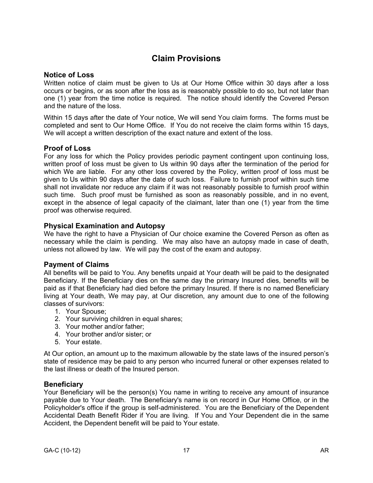# **Claim Provisions**

### **Notice of Loss**

Written notice of claim must be given to Us at Our Home Office within 30 days after a loss occurs or begins, or as soon after the loss as is reasonably possible to do so, but not later than one (1) year from the time notice is required. The notice should identify the Covered Person and the nature of the loss.

Within 15 days after the date of Your notice, We will send You claim forms. The forms must be completed and sent to Our Home Office. If You do not receive the claim forms within 15 days, We will accept a written description of the exact nature and extent of the loss.

# **Proof of Loss**

For any loss for which the Policy provides periodic payment contingent upon continuing loss, written proof of loss must be given to Us within 90 days after the termination of the period for which We are liable. For any other loss covered by the Policy, written proof of loss must be given to Us within 90 days after the date of such loss. Failure to furnish proof within such time shall not invalidate nor reduce any claim if it was not reasonably possible to furnish proof within such time. Such proof must be furnished as soon as reasonably possible, and in no event, except in the absence of legal capacity of the claimant, later than one (1) year from the time proof was otherwise required.

### **Physical Examination and Autopsy**

We have the right to have a Physician of Our choice examine the Covered Person as often as necessary while the claim is pending. We may also have an autopsy made in case of death, unless not allowed by law. We will pay the cost of the exam and autopsy.

### **Payment of Claims**

All benefits will be paid to You. Any benefits unpaid at Your death will be paid to the designated Beneficiary. If the Beneficiary dies on the same day the primary Insured dies, benefits will be paid as if that Beneficiary had died before the primary Insured. If there is no named Beneficiary living at Your death, We may pay, at Our discretion, any amount due to one of the following classes of survivors:

- 1. Your Spouse;
- 2. Your surviving children in equal shares;
- 3. Your mother and/or father;
- 4. Your brother and/or sister; or
- 5. Your estate.

At Our option, an amount up to the maximum allowable by the state laws of the insured person's state of residence may be paid to any person who incurred funeral or other expenses related to the last illness or death of the Insured person.

### **Beneficiary**

Your Beneficiary will be the person(s) You name in writing to receive any amount of insurance payable due to Your death. The Beneficiary's name is on record in Our Home Office, or in the Policyholder's office if the group is self-administered. You are the Beneficiary of the Dependent Accidental Death Benefit Rider if You are living. If You and Your Dependent die in the same Accident, the Dependent benefit will be paid to Your estate.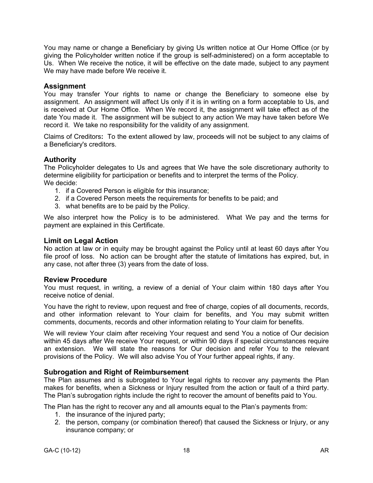You may name or change a Beneficiary by giving Us written notice at Our Home Office (or by giving the Policyholder written notice if the group is self-administered) on a form acceptable to Us. When We receive the notice, it will be effective on the date made, subject to any payment We may have made before We receive it.

# **Assignment**

You may transfer Your rights to name or change the Beneficiary to someone else by assignment. An assignment will affect Us only if it is in writing on a form acceptable to Us, and is received at Our Home Office. When We record it, the assignment will take effect as of the date You made it. The assignment will be subject to any action We may have taken before We record it. We take no responsibility for the validity of any assignment.

Claims of Creditors**:** To the extent allowed by law, proceeds will not be subject to any claims of a Beneficiary's creditors.

### **Authority**

The Policyholder delegates to Us and agrees that We have the sole discretionary authority to determine eligibility for participation or benefits and to interpret the terms of the Policy. We decide:

- 1. if a Covered Person is eligible for this insurance;
- 2. if a Covered Person meets the requirements for benefits to be paid; and
- 3. what benefits are to be paid by the Policy.

We also interpret how the Policy is to be administered. What We pay and the terms for payment are explained in this Certificate.

### **Limit on Legal Action**

No action at law or in equity may be brought against the Policy until at least 60 days after You file proof of loss. No action can be brought after the statute of limitations has expired, but, in any case, not after three (3) years from the date of loss.

#### **Review Procedure**

You must request, in writing, a review of a denial of Your claim within 180 days after You receive notice of denial.

You have the right to review, upon request and free of charge, copies of all documents, records, and other information relevant to Your claim for benefits, and You may submit written comments, documents, records and other information relating to Your claim for benefits.

We will review Your claim after receiving Your request and send You a notice of Our decision within 45 days after We receive Your request, or within 90 days if special circumstances require an extension. We will state the reasons for Our decision and refer You to the relevant provisions of the Policy. We will also advise You of Your further appeal rights, if any.

### **Subrogation and Right of Reimbursement**

The Plan assumes and is subrogated to Your legal rights to recover any payments the Plan makes for benefits, when a Sickness or Injury resulted from the action or fault of a third party. The Plan's subrogation rights include the right to recover the amount of benefits paid to You.

The Plan has the right to recover any and all amounts equal to the Plan's payments from:

- 1. the insurance of the injured party;
- 2. the person, company (or combination thereof) that caused the Sickness or Injury, or any insurance company; or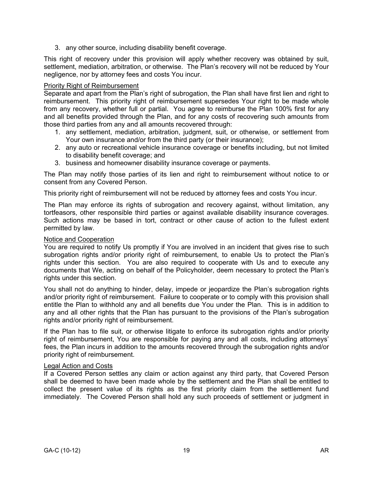3. any other source, including disability benefit coverage.

This right of recovery under this provision will apply whether recovery was obtained by suit, settlement, mediation, arbitration, or otherwise. The Plan's recovery will not be reduced by Your negligence, nor by attorney fees and costs You incur.

### Priority Right of Reimbursement

Separate and apart from the Plan's right of subrogation, the Plan shall have first lien and right to reimbursement. This priority right of reimbursement supersedes Your right to be made whole from any recovery, whether full or partial. You agree to reimburse the Plan 100% first for any and all benefits provided through the Plan, and for any costs of recovering such amounts from those third parties from any and all amounts recovered through:

- 1. any settlement, mediation, arbitration, judgment, suit, or otherwise, or settlement from Your own insurance and/or from the third party (or their insurance);
- 2. any auto or recreational vehicle insurance coverage or benefits including, but not limited to disability benefit coverage; and
- 3. business and homeowner disability insurance coverage or payments.

The Plan may notify those parties of its lien and right to reimbursement without notice to or consent from any Covered Person.

This priority right of reimbursement will not be reduced by attorney fees and costs You incur.

The Plan may enforce its rights of subrogation and recovery against, without limitation, any tortfeasors, other responsible third parties or against available disability insurance coverages. Such actions may be based in tort, contract or other cause of action to the fullest extent permitted by law.

### Notice and Cooperation

You are required to notify Us promptly if You are involved in an incident that gives rise to such subrogation rights and/or priority right of reimbursement, to enable Us to protect the Plan's rights under this section. You are also required to cooperate with Us and to execute any documents that We, acting on behalf of the Policyholder, deem necessary to protect the Plan's rights under this section.

You shall not do anything to hinder, delay, impede or jeopardize the Plan's subrogation rights and/or priority right of reimbursement. Failure to cooperate or to comply with this provision shall entitle the Plan to withhold any and all benefits due You under the Plan. This is in addition to any and all other rights that the Plan has pursuant to the provisions of the Plan's subrogation rights and/or priority right of reimbursement.

If the Plan has to file suit, or otherwise litigate to enforce its subrogation rights and/or priority right of reimbursement, You are responsible for paying any and all costs, including attorneys' fees, the Plan incurs in addition to the amounts recovered through the subrogation rights and/or priority right of reimbursement.

#### Legal Action and Costs

If a Covered Person settles any claim or action against any third party, that Covered Person shall be deemed to have been made whole by the settlement and the Plan shall be entitled to collect the present value of its rights as the first priority claim from the settlement fund immediately. The Covered Person shall hold any such proceeds of settlement or judgment in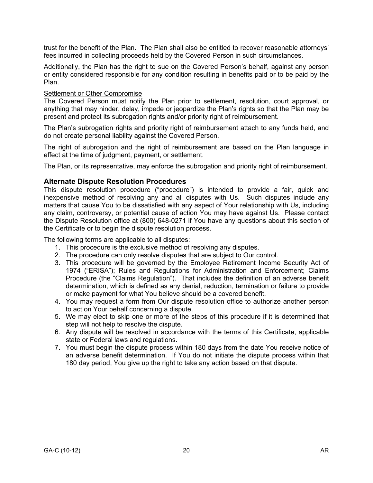trust for the benefit of the Plan. The Plan shall also be entitled to recover reasonable attorneys' fees incurred in collecting proceeds held by the Covered Person in such circumstances.

Additionally, the Plan has the right to sue on the Covered Person's behalf, against any person or entity considered responsible for any condition resulting in benefits paid or to be paid by the Plan.

### **Settlement or Other Compromise**

The Covered Person must notify the Plan prior to settlement, resolution, court approval, or anything that may hinder, delay, impede or jeopardize the Plan's rights so that the Plan may be present and protect its subrogation rights and/or priority right of reimbursement.

The Plan's subrogation rights and priority right of reimbursement attach to any funds held, and do not create personal liability against the Covered Person.

The right of subrogation and the right of reimbursement are based on the Plan language in effect at the time of judgment, payment, or settlement.

The Plan, or its representative, may enforce the subrogation and priority right of reimbursement.

### **Alternate Dispute Resolution Procedures**

This dispute resolution procedure ("procedure") is intended to provide a fair, quick and inexpensive method of resolving any and all disputes with Us. Such disputes include any matters that cause You to be dissatisfied with any aspect of Your relationship with Us, including any claim, controversy, or potential cause of action You may have against Us. Please contact the Dispute Resolution office at (800) 648-0271 if You have any questions about this section of the Certificate or to begin the dispute resolution process.

The following terms are applicable to all disputes:

- 1. This procedure is the exclusive method of resolving any disputes.
- 2. The procedure can only resolve disputes that are subject to Our control.
- 3. This procedure will be governed by the Employee Retirement Income Security Act of 1974 ("ERISA"); Rules and Regulations for Administration and Enforcement; Claims Procedure (the "Claims Regulation"). That includes the definition of an adverse benefit determination, which is defined as any denial, reduction, termination or failure to provide or make payment for what You believe should be a covered benefit.
- 4. You may request a form from Our dispute resolution office to authorize another person to act on Your behalf concerning a dispute.
- 5. We may elect to skip one or more of the steps of this procedure if it is determined that step will not help to resolve the dispute.
- 6. Any dispute will be resolved in accordance with the terms of this Certificate, applicable state or Federal laws and regulations.
- 7. You must begin the dispute process within 180 days from the date You receive notice of an adverse benefit determination. If You do not initiate the dispute process within that 180 day period, You give up the right to take any action based on that dispute.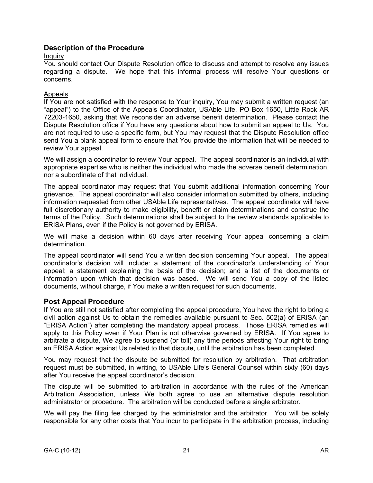# **Description of the Procedure**

### Inquiry

You should contact Our Dispute Resolution office to discuss and attempt to resolve any issues regarding a dispute. We hope that this informal process will resolve Your questions or concerns.

### Appeals

If You are not satisfied with the response to Your inquiry, You may submit a written request (an "appeal") to the Office of the Appeals Coordinator, USAble Life, PO Box 1650, Little Rock AR 72203-1650, asking that We reconsider an adverse benefit determination. Please contact the Dispute Resolution office if You have any questions about how to submit an appeal to Us. You are not required to use a specific form, but You may request that the Dispute Resolution office send You a blank appeal form to ensure that You provide the information that will be needed to review Your appeal.

We will assign a coordinator to review Your appeal. The appeal coordinator is an individual with appropriate expertise who is neither the individual who made the adverse benefit determination, nor a subordinate of that individual.

The appeal coordinator may request that You submit additional information concerning Your grievance. The appeal coordinator will also consider information submitted by others, including information requested from other USAble Life representatives. The appeal coordinator will have full discretionary authority to make eligibility, benefit or claim determinations and construe the terms of the Policy. Such determinations shall be subject to the review standards applicable to ERISA Plans, even if the Policy is not governed by ERISA.

We will make a decision within 60 days after receiving Your appeal concerning a claim determination.

The appeal coordinator will send You a written decision concerning Your appeal. The appeal coordinator's decision will include: a statement of the coordinator's understanding of Your appeal; a statement explaining the basis of the decision; and a list of the documents or information upon which that decision was based. We will send You a copy of the listed documents, without charge, if You make a written request for such documents.

# **Post Appeal Procedure**

If You are still not satisfied after completing the appeal procedure, You have the right to bring a civil action against Us to obtain the remedies available pursuant to Sec. 502(a) of ERISA (an "ERISA Action") after completing the mandatory appeal process. Those ERISA remedies will apply to this Policy even if Your Plan is not otherwise governed by ERISA. If You agree to arbitrate a dispute, We agree to suspend (or toll) any time periods affecting Your right to bring an ERISA Action against Us related to that dispute, until the arbitration has been completed.

You may request that the dispute be submitted for resolution by arbitration. That arbitration request must be submitted, in writing, to USAble Life's General Counsel within sixty (60) days after You receive the appeal coordinator's decision.

The dispute will be submitted to arbitration in accordance with the rules of the American Arbitration Association, unless We both agree to use an alternative dispute resolution administrator or procedure. The arbitration will be conducted before a single arbitrator.

We will pay the filing fee charged by the administrator and the arbitrator. You will be solely responsible for any other costs that You incur to participate in the arbitration process, including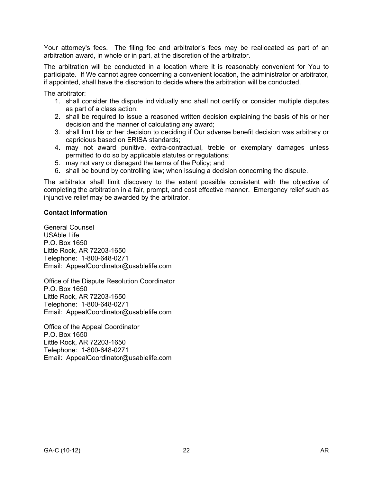Your attorney's fees. The filing fee and arbitrator's fees may be reallocated as part of an arbitration award, in whole or in part, at the discretion of the arbitrator.

The arbitration will be conducted in a location where it is reasonably convenient for You to participate. If We cannot agree concerning a convenient location, the administrator or arbitrator, if appointed, shall have the discretion to decide where the arbitration will be conducted.

The arbitrator:

- 1. shall consider the dispute individually and shall not certify or consider multiple disputes as part of a class action;
- 2. shall be required to issue a reasoned written decision explaining the basis of his or her decision and the manner of calculating any award;
- 3. shall limit his or her decision to deciding if Our adverse benefit decision was arbitrary or capricious based on ERISA standards;
- 4. may not award punitive, extra-contractual, treble or exemplary damages unless permitted to do so by applicable statutes or regulations;
- 5. may not vary or disregard the terms of the Policy; and
- 6. shall be bound by controlling law; when issuing a decision concerning the dispute.

The arbitrator shall limit discovery to the extent possible consistent with the objective of completing the arbitration in a fair, prompt, and cost effective manner. Emergency relief such as injunctive relief may be awarded by the arbitrator.

### **Contact Information**

General Counsel USAble Life P.O. Box 1650 Little Rock, AR 72203-1650 Telephone: 1-800-648-0271 Email: AppealCoordinator@usablelife.com

Office of the Dispute Resolution Coordinator P.O. Box 1650 Little Rock, AR 72203-1650 Telephone: 1-800-648-0271 Email: AppealCoordinator@usablelife.com

Office of the Appeal Coordinator P.O. Box 1650 Little Rock, AR 72203-1650 Telephone: 1-800-648-0271 Email: AppealCoordinator@usablelife.com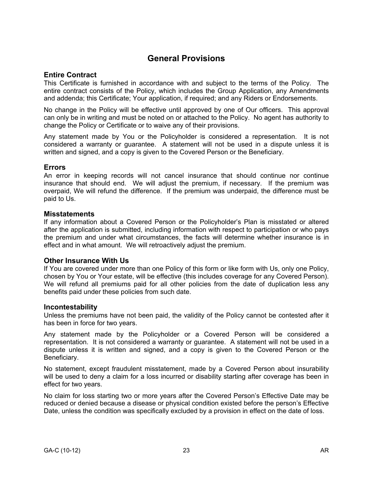# **General Provisions**

### **Entire Contract**

This Certificate is furnished in accordance with and subject to the terms of the Policy. The entire contract consists of the Policy, which includes the Group Application, any Amendments and addenda; this Certificate; Your application, if required; and any Riders or Endorsements.

No change in the Policy will be effective until approved by one of Our officers. This approval can only be in writing and must be noted on or attached to the Policy. No agent has authority to change the Policy or Certificate or to waive any of their provisions.

Any statement made by You or the Policyholder is considered a representation. It is not considered a warranty or guarantee. A statement will not be used in a dispute unless it is written and signed, and a copy is given to the Covered Person or the Beneficiary.

### **Errors**

An error in keeping records will not cancel insurance that should continue nor continue insurance that should end. We will adjust the premium, if necessary. If the premium was overpaid, We will refund the difference. If the premium was underpaid, the difference must be paid to Us.

### **Misstatements**

If any information about a Covered Person or the Policyholder's Plan is misstated or altered after the application is submitted, including information with respect to participation or who pays the premium and under what circumstances, the facts will determine whether insurance is in effect and in what amount. We will retroactively adjust the premium.

### **Other Insurance With Us**

If You are covered under more than one Policy of this form or like form with Us, only one Policy, chosen by You or Your estate, will be effective (this includes coverage for any Covered Person). We will refund all premiums paid for all other policies from the date of duplication less any benefits paid under these policies from such date.

#### **Incontestability**

Unless the premiums have not been paid, the validity of the Policy cannot be contested after it has been in force for two years.

Any statement made by the Policyholder or a Covered Person will be considered a representation. It is not considered a warranty or guarantee. A statement will not be used in a dispute unless it is written and signed, and a copy is given to the Covered Person or the Beneficiary.

No statement, except fraudulent misstatement, made by a Covered Person about insurability will be used to deny a claim for a loss incurred or disability starting after coverage has been in effect for two years.

No claim for loss starting two or more years after the Covered Person's Effective Date may be reduced or denied because a disease or physical condition existed before the person's Effective Date, unless the condition was specifically excluded by a provision in effect on the date of loss.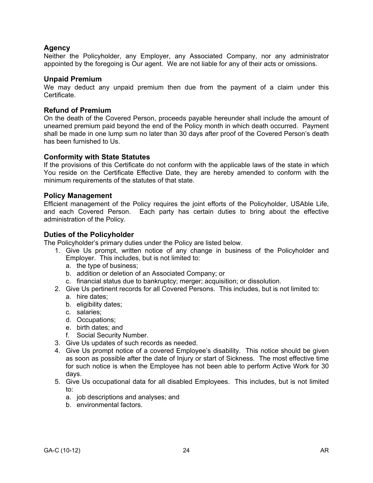# **Agency**

Neither the Policyholder, any Employer, any Associated Company, nor any administrator appointed by the foregoing is Our agent. We are not liable for any of their acts or omissions.

#### **Unpaid Premium**

We may deduct any unpaid premium then due from the payment of a claim under this Certificate.

### **Refund of Premium**

On the death of the Covered Person, proceeds payable hereunder shall include the amount of unearned premium paid beyond the end of the Policy month in which death occurred. Payment shall be made in one lump sum no later than 30 days after proof of the Covered Person's death has been furnished to Us.

### **Conformity with State Statutes**

If the provisions of this Certificate do not conform with the applicable laws of the state in which You reside on the Certificate Effective Date, they are hereby amended to conform with the minimum requirements of the statutes of that state.

### **Policy Management**

Efficient management of the Policy requires the joint efforts of the Policyholder, USAble Life, and each Covered Person. Each party has certain duties to bring about the effective administration of the Policy.

### **Duties of the Policyholder**

The Policyholder's primary duties under the Policy are listed below.

- 1. Give Us prompt, written notice of any change in business of the Policyholder and Employer. This includes, but is not limited to:
	- a. the type of business;
	- b. addition or deletion of an Associated Company; or
	- c. financial status due to bankruptcy; merger; acquisition; or dissolution.
- 2. Give Us pertinent records for all Covered Persons. This includes, but is not limited to:
	- a. hire dates;
	- b. eligibility dates;
	- c. salaries;
	- d. Occupations;
	- e. birth dates; and
	- f. Social Security Number.
- 3. Give Us updates of such records as needed.
- 4. Give Us prompt notice of a covered Employee's disability. This notice should be given as soon as possible after the date of Injury or start of Sickness. The most effective time for such notice is when the Employee has not been able to perform Active Work for 30 days.
- 5. Give Us occupational data for all disabled Employees. This includes, but is not limited to:
	- a. job descriptions and analyses; and
	- b. environmental factors.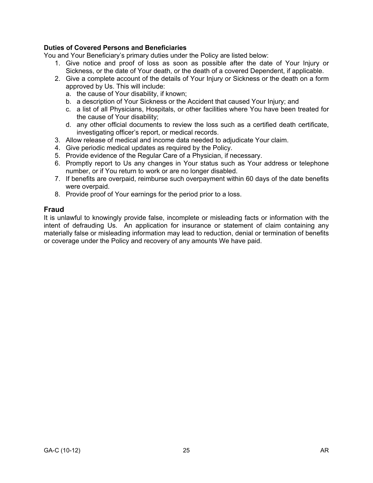### **Duties of Covered Persons and Beneficiaries**

You and Your Beneficiary's primary duties under the Policy are listed below:

- 1. Give notice and proof of loss as soon as possible after the date of Your Injury or Sickness, or the date of Your death, or the death of a covered Dependent, if applicable.
- 2. Give a complete account of the details of Your Injury or Sickness or the death on a form approved by Us. This will include:
	- a. the cause of Your disability, if known;
	- b. a description of Your Sickness or the Accident that caused Your Injury; and
	- c. a list of all Physicians, Hospitals, or other facilities where You have been treated for the cause of Your disability;
	- d. any other official documents to review the loss such as a certified death certificate, investigating officer's report, or medical records.
- 3. Allow release of medical and income data needed to adjudicate Your claim.
- 4. Give periodic medical updates as required by the Policy.
- 5. Provide evidence of the Regular Care of a Physician, if necessary.
- 6. Promptly report to Us any changes in Your status such as Your address or telephone number, or if You return to work or are no longer disabled.
- 7. If benefits are overpaid, reimburse such overpayment within 60 days of the date benefits were overpaid.
- 8. Provide proof of Your earnings for the period prior to a loss.

### **Fraud**

It is unlawful to knowingly provide false, incomplete or misleading facts or information with the intent of defrauding Us. An application for insurance or statement of claim containing any materially false or misleading information may lead to reduction, denial or termination of benefits or coverage under the Policy and recovery of any amounts We have paid.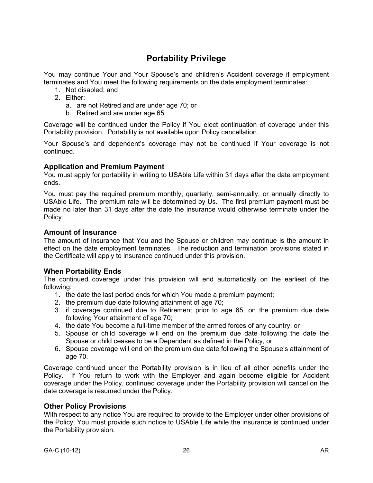# **Portability Privilege**

You may continue Your and Your Spouse's and children's Accident coverage if employment terminates and You meet the following requirements on the date employment terminates:

- 1. Not disabled; and
- 2. Either:
	- a. are not Retired and are under age 70; or
	- b. Retired and are under age 65.

Coverage will be continued under the Policy if You elect continuation of coverage under this Portability provision. Portability is not available upon Policy cancellation.

Your Spouse's and dependent's coverage may not be continued if Your coverage is not continued.

### **Application and Premium Payment**

You must apply for portability in writing to USAble Life within 31 days after the date employment ends.

You must pay the required premium monthly, quarterly, semi-annually, or annually directly to USAble Life. The premium rate will be determined by Us. The first premium payment must be made no later than 31 days after the date the insurance would otherwise terminate under the Policy.

### **Amount of Insurance**

The amount of insurance that You and the Spouse or children may continue is the amount in effect on the date employment terminates. The reduction and termination provisions stated in the Certificate will apply to insurance continued under this provision.

### **When Portability Ends**

The continued coverage under this provision will end automatically on the earliest of the following:

- 1. the date the last period ends for which You made a premium payment;
- 2. the premium due date following attainment of age 70;
- 3. if coverage continued due to Retirement prior to age 65, on the premium due date following Your attainment of age 70;
- 4. the date You become a full-time member of the armed forces of any country; or
- 5. Spouse or child coverage will end on the premium due date following the date the Spouse or child ceases to be a Dependent as defined in the Policy, or
- 6. Spouse coverage will end on the premium due date following the Spouse's attainment of age 70.

Coverage continued under the Portability provision is in lieu of all other benefits under the Policy. If You return to work with the Employer and again become eligible for Accident coverage under the Policy, continued coverage under the Portability provision will cancel on the date coverage is resumed under the Policy.

### **Other Policy Provisions**

With respect to any notice You are required to provide to the Employer under other provisions of the Policy, You must provide such notice to USAble Life while the insurance is continued under the Portability provision.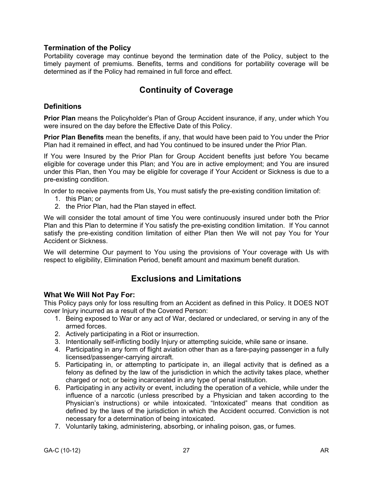# **Termination of the Policy**

Portability coverage may continue beyond the termination date of the Policy, subject to the timely payment of premiums. Benefits, terms and conditions for portability coverage will be determined as if the Policy had remained in full force and effect.

# **Continuity of Coverage**

### **Definitions**

**Prior Plan** means the Policyholder's Plan of Group Accident insurance, if any, under which You were insured on the day before the Effective Date of this Policy.

**Prior Plan Benefits** mean the benefits, if any, that would have been paid to You under the Prior Plan had it remained in effect, and had You continued to be insured under the Prior Plan.

If You were Insured by the Prior Plan for Group Accident benefits just before You became eligible for coverage under this Plan; and You are in active employment; and You are insured under this Plan, then You may be eligible for coverage if Your Accident or Sickness is due to a pre-existing condition.

In order to receive payments from Us, You must satisfy the pre-existing condition limitation of:

- 1. this Plan; or
- 2. the Prior Plan, had the Plan stayed in effect.

We will consider the total amount of time You were continuously insured under both the Prior Plan and this Plan to determine if You satisfy the pre-existing condition limitation. If You cannot satisfy the pre-existing condition limitation of either Plan then We will not pay You for Your Accident or Sickness.

We will determine Our payment to You using the provisions of Your coverage with Us with respect to eligibility, Elimination Period, benefit amount and maximum benefit duration.

# **Exclusions and Limitations**

### **What We Will Not Pay For:**

This Policy pays only for loss resulting from an Accident as defined in this Policy. It DOES NOT cover Injury incurred as a result of the Covered Person:

- 1. Being exposed to War or any act of War, declared or undeclared, or serving in any of the armed forces.
- 2. Actively participating in a Riot or insurrection.
- 3. Intentionally self-inflicting bodily Injury or attempting suicide, while sane or insane.
- 4. Participating in any form of flight aviation other than as a fare-paying passenger in a fully licensed/passenger-carrying aircraft.
- 5. Participating in, or attempting to participate in, an illegal activity that is defined as a felony as defined by the law of the jurisdiction in which the activity takes place, whether charged or not; or being incarcerated in any type of penal institution.
- 6. Participating in any activity or event, including the operation of a vehicle, while under the influence of a narcotic (unless prescribed by a Physician and taken according to the Physician's instructions) or while intoxicated. "Intoxicated" means that condition as defined by the laws of the jurisdiction in which the Accident occurred. Conviction is not necessary for a determination of being intoxicated.
- 7. Voluntarily taking, administering, absorbing, or inhaling poison, gas, or fumes.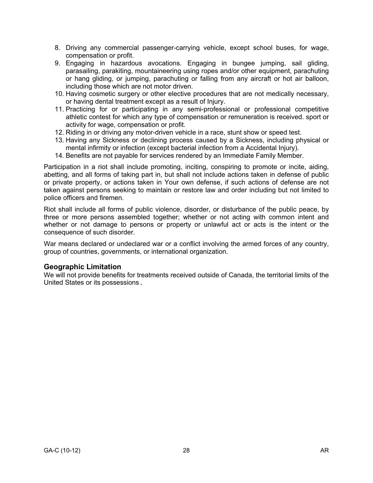- 8. Driving any commercial passenger-carrying vehicle, except school buses, for wage, compensation or profit.
- 9. Engaging in hazardous avocations. Engaging in bungee jumping, sail gliding, parasailing, parakiting, mountaineering using ropes and/or other equipment, parachuting or hang gliding, or jumping, parachuting or falling from any aircraft or hot air balloon, including those which are not motor driven.
- 10. Having cosmetic surgery or other elective procedures that are not medically necessary, or having dental treatment except as a result of Injury.
- 11. Practicing for or participating in any semi-professional or professional competitive athletic contest for which any type of compensation or remuneration is received. sport or activity for wage, compensation or profit.
- 12. Riding in or driving any motor-driven vehicle in a race, stunt show or speed test.
- 13. Having any Sickness or declining process caused by a Sickness, including physical or mental infirmity or infection (except bacterial infection from a Accidental Injury).
- 14. Benefits are not payable for services rendered by an Immediate Family Member.

Participation in a riot shall include promoting, inciting, conspiring to promote or incite, aiding, abetting, and all forms of taking part in, but shall not include actions taken in defense of public or private property, or actions taken in Your own defense, if such actions of defense are not taken against persons seeking to maintain or restore law and order including but not limited to police officers and firemen.

Riot shall include all forms of public violence, disorder, or disturbance of the public peace, by three or more persons assembled together; whether or not acting with common intent and whether or not damage to persons or property or unlawful act or acts is the intent or the consequence of such disorder.

War means declared or undeclared war or a conflict involving the armed forces of any country, group of countries, governments, or international organization.

# **Geographic Limitation**

We will not provide benefits for treatments received outside of Canada, the territorial limits of the United States or its possessions.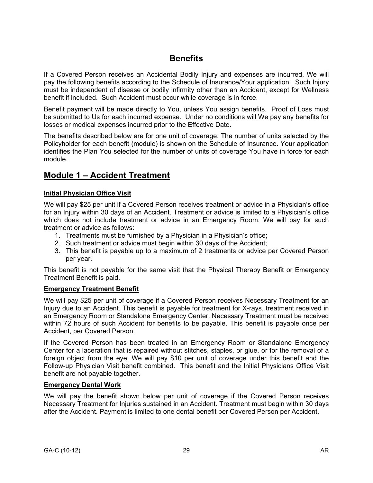# **Benefits**

If a Covered Person receives an Accidental Bodily Injury and expenses are incurred, We will pay the following benefits according to the Schedule of Insurance/Your application. Such Injury must be independent of disease or bodily infirmity other than an Accident, except for Wellness benefit if included. Such Accident must occur while coverage is in force.

Benefit payment will be made directly to You, unless You assign benefits. Proof of Loss must be submitted to Us for each incurred expense. Under no conditions will We pay any benefits for losses or medical expenses incurred prior to the Effective Date.

The benefits described below are for one unit of coverage. The number of units selected by the Policyholder for each benefit (module) is shown on the Schedule of Insurance. Your application identifies the Plan You selected for the number of units of coverage You have in force for each module.

# **Module 1 – Accident Treatment**

# **Initial Physician Office Visit**

We will pay \$25 per unit if a Covered Person receives treatment or advice in a Physician's office for an Injury within 30 days of an Accident. Treatment or advice is limited to a Physician's office which does not include treatment or advice in an Emergency Room. We will pay for such treatment or advice as follows:

- 1. Treatments must be furnished by a Physician in a Physician's office;
- 2. Such treatment or advice must begin within 30 days of the Accident;
- 3. This benefit is payable up to a maximum of 2 treatments or advice per Covered Person per year.

This benefit is not payable for the same visit that the Physical Therapy Benefit or Emergency Treatment Benefit is paid.

# **Emergency Treatment Benefit**

We will pay \$25 per unit of coverage if a Covered Person receives Necessary Treatment for an Injury due to an Accident. This benefit is payable for treatment for X-rays, treatment received in an Emergency Room or Standalone Emergency Center. Necessary Treatment must be received within 72 hours of such Accident for benefits to be payable. This benefit is payable once per Accident, per Covered Person.

If the Covered Person has been treated in an Emergency Room or Standalone Emergency Center for a laceration that is repaired without stitches, staples, or glue, or for the removal of a foreign object from the eye; We will pay \$10 per unit of coverage under this benefit and the Follow-up Physician Visit benefit combined. This benefit and the Initial Physicians Office Visit benefit are not payable together.

# **Emergency Dental Work**

We will pay the benefit shown below per unit of coverage if the Covered Person receives Necessary Treatment for Injuries sustained in an Accident. Treatment must begin within 30 days after the Accident. Payment is limited to one dental benefit per Covered Person per Accident.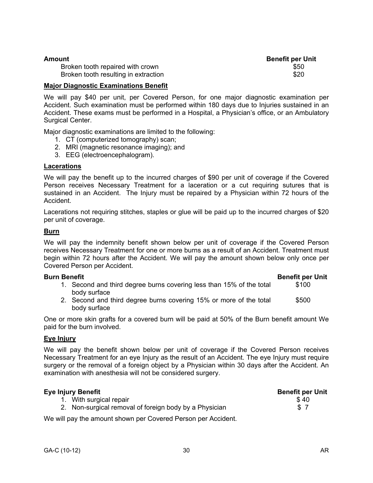| Amount                               | <b>Benefit per Unit</b> |
|--------------------------------------|-------------------------|
| Broken tooth repaired with crown     | \$50                    |
| Broken tooth resulting in extraction | \$20                    |

### **Major Diagnostic Examinations Benefit**

We will pay \$40 per unit, per Covered Person, for one major diagnostic examination per Accident. Such examination must be performed within 180 days due to Injuries sustained in an Accident. These exams must be performed in a Hospital, a Physician's office, or an Ambulatory Surgical Center.

Major diagnostic examinations are limited to the following:

- 1. CT (computerized tomography) scan;
- 2. MRI (magnetic resonance imaging); and
- 3. EEG (electroencephalogram).

#### **Lacerations**

We will pay the benefit up to the incurred charges of \$90 per unit of coverage if the Covered Person receives Necessary Treatment for a laceration or a cut requiring sutures that is sustained in an Accident. The Injury must be repaired by a Physician within 72 hours of the Accident.

Lacerations not requiring stitches, staples or glue will be paid up to the incurred charges of \$20 per unit of coverage.

#### **Burn**

We will pay the indemnity benefit shown below per unit of coverage if the Covered Person receives Necessary Treatment for one or more burns as a result of an Accident. Treatment must begin within 72 hours after the Accident. We will pay the amount shown below only once per Covered Person per Accident.

#### **Burn Benefit Benefit per Unit**

- 1. Second and third degree burns covering less than 15% of the total body surface \$100
- 2. Second and third degree burns covering 15% or more of the total body surface \$500

One or more skin grafts for a covered burn will be paid at 50% of the Burn benefit amount We paid for the burn involved.

### **Eye Injury**

We will pay the benefit shown below per unit of coverage if the Covered Person receives Necessary Treatment for an eye Injury as the result of an Accident. The eye Injury must require surgery or the removal of a foreign object by a Physician within 30 days after the Accident. An examination with anesthesia will not be considered surgery.

| Eye Injury Benefit                                     | <b>Benefit per Unit</b> |
|--------------------------------------------------------|-------------------------|
| 1. With surgical repair                                | \$40                    |
| 2. Non-surgical removal of foreign body by a Physician | -S. 7                   |

We will pay the amount shown per Covered Person per Accident.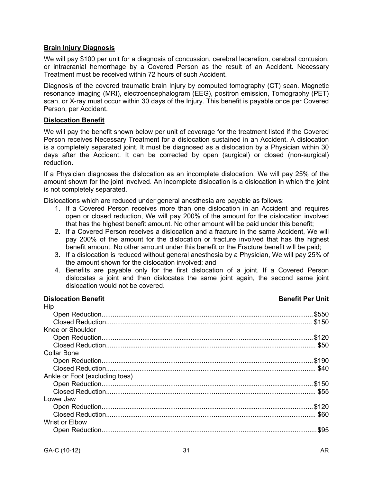### **Brain Injury Diagnosis**

We will pay \$100 per unit for a diagnosis of concussion, cerebral laceration, cerebral contusion, or intracranial hemorrhage by a Covered Person as the result of an Accident. Necessary Treatment must be received within 72 hours of such Accident.

Diagnosis of the covered traumatic brain Injury by computed tomography (CT) scan. Magnetic resonance imaging (MRI), electroencephalogram (EEG), positron emission, Tomography (PET) scan, or X-ray must occur within 30 days of the Injury. This benefit is payable once per Covered Person, per Accident.

### **Dislocation Benefit**

We will pay the benefit shown below per unit of coverage for the treatment listed if the Covered Person receives Necessary Treatment for a dislocation sustained in an Accident. A dislocation is a completely separated joint. It must be diagnosed as a dislocation by a Physician within 30 days after the Accident. It can be corrected by open (surgical) or closed (non-surgical) reduction.

If a Physician diagnoses the dislocation as an incomplete dislocation, We will pay 25% of the amount shown for the joint involved. An incomplete dislocation is a dislocation in which the joint is not completely separated.

Dislocations which are reduced under general anesthesia are payable as follows:

- 1. If a Covered Person receives more than one dislocation in an Accident and requires open or closed reduction, We will pay 200% of the amount for the dislocation involved that has the highest benefit amount. No other amount will be paid under this benefit;
- 2. If a Covered Person receives a dislocation and a fracture in the same Accident, We will pay 200% of the amount for the dislocation or fracture involved that has the highest benefit amount. No other amount under this benefit or the Fracture benefit will be paid;
- 3. If a dislocation is reduced without general anesthesia by a Physician, We will pay 25% of the amount shown for the dislocation involved; and
- 4. Benefits are payable only for the first dislocation of a joint. If a Covered Person dislocates a joint and then dislocates the same joint again, the second same joint dislocation would not be covered.

### **Dislocation Benefit Benefit Per Unit** Hip Open Reduction..................................................................................................................\$550 Closed Reduction............................................................................................................... \$150 Knee or Shoulder Open Reduction..................................................................................................................\$120 Closed Reduction................................................................................................................. \$50 Collar Bone Open Reduction..................................................................................................................\$190 Closed Reduction................................................................................................................. \$40 Ankle or Foot (excluding toes) Open Reduction..................................................................................................................\$150 Closed Reduction................................................................................................................. \$55 Lower Jaw Open Reduction..................................................................................................................\$120 Closed Reduction................................................................................................................. \$60 Wrist or Elbow Open Reduction....................................................................................................................\$95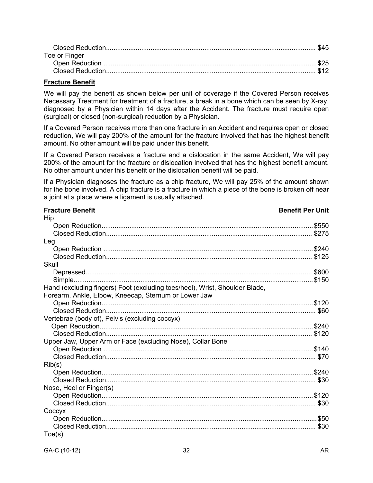| Toe or Finger |  |
|---------------|--|
|               |  |
|               |  |

### **Fracture Benefit**

We will pay the benefit as shown below per unit of coverage if the Covered Person receives Necessary Treatment for treatment of a fracture, a break in a bone which can be seen by X-ray, diagnosed by a Physician within 14 days after the Accident. The fracture must require open (surgical) or closed (non-surgical) reduction by a Physician.

If a Covered Person receives more than one fracture in an Accident and requires open or closed reduction, We will pay 200% of the amount for the fracture involved that has the highest benefit amount. No other amount will be paid under this benefit.

If a Covered Person receives a fracture and a dislocation in the same Accident, We will pay 200% of the amount for the fracture or dislocation involved that has the highest benefit amount. No other amount under this benefit or the dislocation benefit will be paid.

If a Physician diagnoses the fracture as a chip fracture, We will pay 25% of the amount shown for the bone involved. A chip fracture is a fracture in which a piece of the bone is broken off near a joint at a place where a ligament is usually attached.

| <b>Fracture Benefit</b>                                                     | <b>Benefit Per Unit</b> |
|-----------------------------------------------------------------------------|-------------------------|
| Hip                                                                         |                         |
|                                                                             |                         |
|                                                                             |                         |
| Leg                                                                         |                         |
|                                                                             |                         |
|                                                                             |                         |
| Skull                                                                       |                         |
|                                                                             |                         |
|                                                                             |                         |
| Hand (excluding fingers) Foot (excluding toes/heel), Wrist, Shoulder Blade, |                         |
| Forearm, Ankle, Elbow, Kneecap, Sternum or Lower Jaw                        |                         |
|                                                                             |                         |
|                                                                             |                         |
| Vertebrae (body of), Pelvis (excluding coccyx)                              |                         |
|                                                                             |                         |
|                                                                             |                         |
| Upper Jaw, Upper Arm or Face (excluding Nose), Collar Bone                  |                         |
|                                                                             |                         |
|                                                                             |                         |
| Rib(s)                                                                      |                         |
|                                                                             |                         |
|                                                                             |                         |
| Nose, Heel or Finger(s)                                                     |                         |
|                                                                             |                         |
|                                                                             |                         |
| Coccyx                                                                      |                         |
|                                                                             |                         |
|                                                                             |                         |
| Toe(s)                                                                      |                         |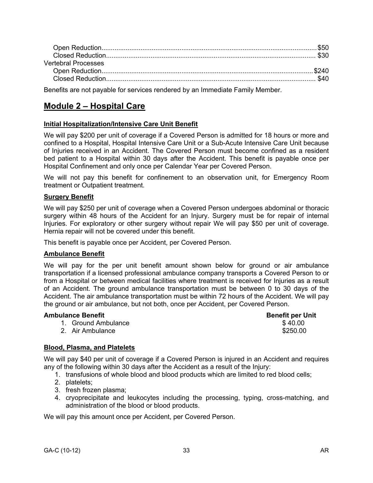| <b>Vertebral Processes</b> |  |
|----------------------------|--|
|                            |  |
|                            |  |
|                            |  |

Benefits are not payable for services rendered by an Immediate Family Member.

# **Module 2 – Hospital Care**

### **Initial Hospitalization/Intensive Care Unit Benefit**

We will pay \$200 per unit of coverage if a Covered Person is admitted for 18 hours or more and confined to a Hospital, Hospital Intensive Care Unit or a Sub-Acute Intensive Care Unit because of Injuries received in an Accident. The Covered Person must become confined as a resident bed patient to a Hospital within 30 days after the Accident. This benefit is payable once per Hospital Confinement and only once per Calendar Year per Covered Person.

We will not pay this benefit for confinement to an observation unit, for Emergency Room treatment or Outpatient treatment.

#### **Surgery Benefit**

We will pay \$250 per unit of coverage when a Covered Person undergoes abdominal or thoracic surgery within 48 hours of the Accident for an Injury. Surgery must be for repair of internal Injuries. For exploratory or other surgery without repair We will pay \$50 per unit of coverage. Hernia repair will not be covered under this benefit.

This benefit is payable once per Accident, per Covered Person.

#### **Ambulance Benefit**

We will pay for the per unit benefit amount shown below for ground or air ambulance transportation if a licensed professional ambulance company transports a Covered Person to or from a Hospital or between medical facilities where treatment is received for Injuries as a result of an Accident. The ground ambulance transportation must be between 0 to 30 days of the Accident. The air ambulance transportation must be within 72 hours of the Accident. We will pay the ground or air ambulance, but not both, once per Accident, per Covered Person.

#### **Ambulance Benefit Benefit per Unit**

\$ 40.00 \$250.00

- 1. Ground Ambulance
- 2. Air Ambulance

### **Blood, Plasma, and Platelets**

We will pay \$40 per unit of coverage if a Covered Person is injured in an Accident and requires any of the following within 30 days after the Accident as a result of the Injury:

- 1. transfusions of whole blood and blood products which are limited to red blood cells;
- 2. platelets;
- 3. fresh frozen plasma;
- 4. cryoprecipitate and leukocytes including the processing, typing, cross-matching, and administration of the blood or blood products.

We will pay this amount once per Accident, per Covered Person.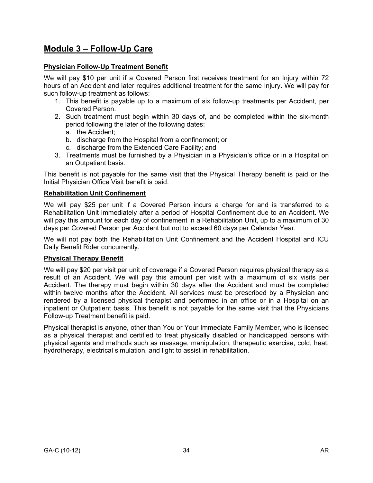# **Module 3 – Follow-Up Care**

### **Physician Follow-Up Treatment Benefit**

We will pay \$10 per unit if a Covered Person first receives treatment for an Injury within 72 hours of an Accident and later requires additional treatment for the same Injury. We will pay for such follow-up treatment as follows:

- 1. This benefit is payable up to a maximum of six follow-up treatments per Accident, per Covered Person.
- 2. Such treatment must begin within 30 days of, and be completed within the six-month period following the later of the following dates:
	- a. the Accident;
	- b. discharge from the Hospital from a confinement; or
	- c. discharge from the Extended Care Facility; and
- 3. Treatments must be furnished by a Physician in a Physician's office or in a Hospital on an Outpatient basis.

This benefit is not payable for the same visit that the Physical Therapy benefit is paid or the Initial Physician Office Visit benefit is paid.

### **Rehabilitation Unit Confinement**

We will pay \$25 per unit if a Covered Person incurs a charge for and is transferred to a Rehabilitation Unit immediately after a period of Hospital Confinement due to an Accident. We will pay this amount for each day of confinement in a Rehabilitation Unit, up to a maximum of 30 days per Covered Person per Accident but not to exceed 60 days per Calendar Year.

We will not pay both the Rehabilitation Unit Confinement and the Accident Hospital and ICU Daily Benefit Rider concurrently.

### **Physical Therapy Benefit**

We will pay \$20 per visit per unit of coverage if a Covered Person requires physical therapy as a result of an Accident. We will pay this amount per visit with a maximum of six visits per Accident. The therapy must begin within 30 days after the Accident and must be completed within twelve months after the Accident. All services must be prescribed by a Physician and rendered by a licensed physical therapist and performed in an office or in a Hospital on an inpatient or Outpatient basis. This benefit is not payable for the same visit that the Physicians Follow-up Treatment benefit is paid.

Physical therapist is anyone, other than You or Your Immediate Family Member, who is licensed as a physical therapist and certified to treat physically disabled or handicapped persons with physical agents and methods such as massage, manipulation, therapeutic exercise, cold, heat, hydrotherapy, electrical simulation, and light to assist in rehabilitation.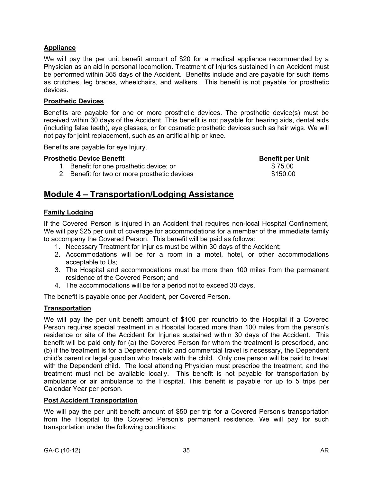# **Appliance**

We will pay the per unit benefit amount of \$20 for a medical appliance recommended by a Physician as an aid in personal locomotion. Treatment of Injuries sustained in an Accident must be performed within 365 days of the Accident. Benefits include and are payable for such items as crutches, leg braces, wheelchairs, and walkers. This benefit is not payable for prosthetic devices.

### **Prosthetic Devices**

Benefits are payable for one or more prosthetic devices. The prosthetic device(s) must be received within 30 days of the Accident. This benefit is not payable for hearing aids, dental aids (including false teeth), eye glasses, or for cosmetic prosthetic devices such as hair wigs. We will not pay for joint replacement, such as an artificial hip or knee.

Benefits are payable for eye Injury.

### **Prosthetic Device Benefit Benefit per Unit Benefit per Unit**

- 1. Benefit for one prosthetic device; or
- 2. Benefit for two or more prosthetic devices

# **Module 4 – Transportation/Lodging Assistance**

### **Family Lodging**

If the Covered Person is injured in an Accident that requires non-local Hospital Confinement, We will pay \$25 per unit of coverage for accommodations for a member of the immediate family to accompany the Covered Person. This benefit will be paid as follows:

- 1. Necessary Treatment for Injuries must be within 30 days of the Accident;
- 2. Accommodations will be for a room in a motel, hotel, or other accommodations acceptable to Us;
- 3. The Hospital and accommodations must be more than 100 miles from the permanent residence of the Covered Person; and
- 4. The accommodations will be for a period not to exceed 30 days.

The benefit is payable once per Accident, per Covered Person.

# **Transportation**

We will pay the per unit benefit amount of \$100 per roundtrip to the Hospital if a Covered Person requires special treatment in a Hospital located more than 100 miles from the person's residence or site of the Accident for Injuries sustained within 30 days of the Accident. This benefit will be paid only for (a) the Covered Person for whom the treatment is prescribed, and (b) if the treatment is for a Dependent child and commercial travel is necessary, the Dependent child's parent or legal guardian who travels with the child. Only one person will be paid to travel with the Dependent child. The local attending Physician must prescribe the treatment, and the treatment must not be available locally. This benefit is not payable for transportation by ambulance or air ambulance to the Hospital. This benefit is payable for up to 5 trips per Calendar Year per person.

### **Post Accident Transportation**

We will pay the per unit benefit amount of \$50 per trip for a Covered Person's transportation from the Hospital to the Covered Person's permanent residence. We will pay for such transportation under the following conditions:

\$ 75.00 \$150.00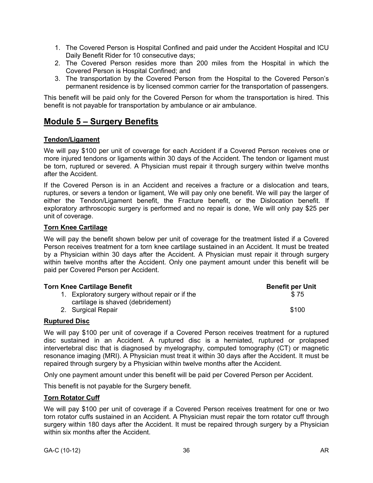- 1. The Covered Person is Hospital Confined and paid under the Accident Hospital and ICU Daily Benefit Rider for 10 consecutive days;
- 2. The Covered Person resides more than 200 miles from the Hospital in which the Covered Person is Hospital Confined; and
- 3. The transportation by the Covered Person from the Hospital to the Covered Person's permanent residence is by licensed common carrier for the transportation of passengers.

This benefit will be paid only for the Covered Person for whom the transportation is hired. This benefit is not payable for transportation by ambulance or air ambulance.

# **Module 5 – Surgery Benefits**

### **Tendon/Ligament**

We will pay \$100 per unit of coverage for each Accident if a Covered Person receives one or more injured tendons or ligaments within 30 days of the Accident. The tendon or ligament must be torn, ruptured or severed. A Physician must repair it through surgery within twelve months after the Accident.

If the Covered Person is in an Accident and receives a fracture or a dislocation and tears, ruptures, or severs a tendon or ligament, We will pay only one benefit. We will pay the larger of either the Tendon/Ligament benefit, the Fracture benefit, or the Dislocation benefit. If exploratory arthroscopic surgery is performed and no repair is done, We will only pay \$25 per unit of coverage.

### **Torn Knee Cartilage**

We will pay the benefit shown below per unit of coverage for the treatment listed if a Covered Person receives treatment for a torn knee cartilage sustained in an Accident. It must be treated by a Physician within 30 days after the Accident. A Physician must repair it through surgery within twelve months after the Accident. Only one payment amount under this benefit will be paid per Covered Person per Accident.

| Torn Knee Cartilage Benefit |                                                 | <b>Benefit per Unit</b> |  |
|-----------------------------|-------------------------------------------------|-------------------------|--|
|                             | 1. Exploratory surgery without repair or if the | \$75                    |  |
|                             | cartilage is shaved (debridement)               |                         |  |
|                             | 2. Surgical Repair                              | \$100                   |  |

### **Ruptured Disc**

We will pay \$100 per unit of coverage if a Covered Person receives treatment for a ruptured disc sustained in an Accident. A ruptured disc is a herniated, ruptured or prolapsed intervertebral disc that is diagnosed by myelography, computed tomography (CT) or magnetic resonance imaging (MRI). A Physician must treat it within 30 days after the Accident. It must be repaired through surgery by a Physician within twelve months after the Accident.

Only one payment amount under this benefit will be paid per Covered Person per Accident.

This benefit is not payable for the Surgery benefit.

### **Torn Rotator Cuff**

We will pay \$100 per unit of coverage if a Covered Person receives treatment for one or two torn rotator cuffs sustained in an Accident. A Physician must repair the torn rotator cuff through surgery within 180 days after the Accident. It must be repaired through surgery by a Physician within six months after the Accident.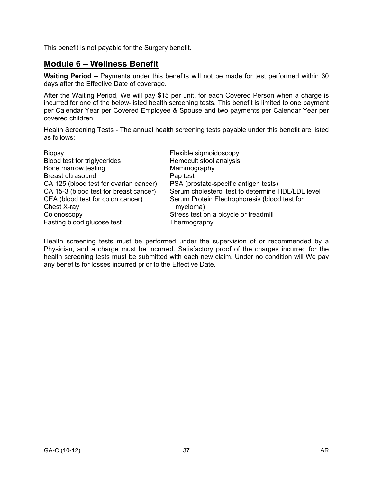This benefit is not payable for the Surgery benefit.

# **Module 6 – Wellness Benefit**

**Waiting Period** – Payments under this benefits will not be made for test performed within 30 days after the Effective Date of coverage.

After the Waiting Period, We will pay \$15 per unit, for each Covered Person when a charge is incurred for one of the below-listed health screening tests. This benefit is limited to one payment per Calendar Year per Covered Employee & Spouse and two payments per Calendar Year per covered children.

Health Screening Tests - The annual health screening tests payable under this benefit are listed as follows:

| <b>Biopsy</b>                          | Flexible sigmoidoscopy                            |
|----------------------------------------|---------------------------------------------------|
| Blood test for triglycerides           | Hemocult stool analysis                           |
| Bone marrow testing                    | Mammography                                       |
| <b>Breast ultrasound</b>               | Pap test                                          |
| CA 125 (blood test for ovarian cancer) | PSA (prostate-specific antigen tests)             |
| CA 15-3 (blood test for breast cancer) | Serum cholesterol test to determine HDL/LDL level |
| CEA (blood test for colon cancer)      | Serum Protein Electrophoresis (blood test for     |
| Chest X-ray                            | myeloma)                                          |
| Colonoscopy                            | Stress test on a bicycle or treadmill             |
| Fasting blood glucose test             | Thermography                                      |

Health screening tests must be performed under the supervision of or recommended by a Physician, and a charge must be incurred. Satisfactory proof of the charges incurred for the health screening tests must be submitted with each new claim. Under no condition will We pay any benefits for losses incurred prior to the Effective Date.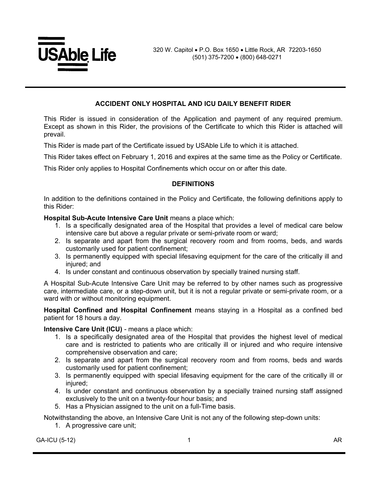

### **ACCIDENT ONLY HOSPITAL AND ICU DAILY BENEFIT RIDER**

This Rider is issued in consideration of the Application and payment of any required premium. Except as shown in this Rider, the provisions of the Certificate to which this Rider is attached will prevail.

This Rider is made part of the Certificate issued by USAble Life to which it is attached.

This Rider takes effect on February 1, 2016 and expires at the same time as the Policy or Certificate.

This Rider only applies to Hospital Confinements which occur on or after this date.

#### **DEFINITIONS**

In addition to the definitions contained in the Policy and Certificate, the following definitions apply to this Rider:

### **Hospital Sub-Acute Intensive Care Unit** means a place which:

- 1. Is a specifically designated area of the Hospital that provides a level of medical care below intensive care but above a regular private or semi-private room or ward;
- 2. Is separate and apart from the surgical recovery room and from rooms, beds, and wards customarily used for patient confinement;
- 3. Is permanently equipped with special lifesaving equipment for the care of the critically ill and injured; and
- 4. Is under constant and continuous observation by specially trained nursing staff.

A Hospital Sub-Acute Intensive Care Unit may be referred to by other names such as progressive care, intermediate care, or a step-down unit, but it is not a regular private or semi-private room, or a ward with or without monitoring equipment.

**Hospital Confined and Hospital Confinement** means staying in a Hospital as a confined bed patient for 18 hours a day.

**Intensive Care Unit (ICU)** - means a place which:

- 1. Is a specifically designated area of the Hospital that provides the highest level of medical care and is restricted to patients who are critically ill or injured and who require intensive comprehensive observation and care;
- 2. Is separate and apart from the surgical recovery room and from rooms, beds and wards customarily used for patient confinement;
- 3. Is permanently equipped with special lifesaving equipment for the care of the critically ill or injured:
- 4. Is under constant and continuous observation by a specially trained nursing staff assigned exclusively to the unit on a twenty-four hour basis; and
- 5. Has a Physician assigned to the unit on a full-Time basis.

Notwithstanding the above, an Intensive Care Unit is not any of the following step-down units:

1. A progressive care unit;

GA-ICU (5-12) 1 AR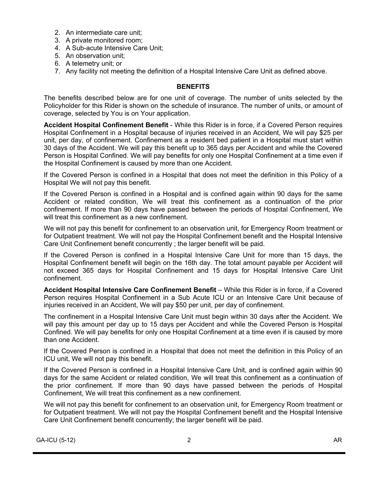- 2. An intermediate care unit;
- 3. A private monitored room;
- 4. A Sub-acute Intensive Care Unit;
- 5. An observation unit;
- 6. A telemetry unit; or
- 7. Any facility not meeting the definition of a Hospital Intensive Care Unit as defined above.

### **BENEFITS**

The benefits described below are for one unit of coverage. The number of units selected by the Policyholder for this Rider is shown on the schedule of insurance. The number of units, or amount of coverage, selected by You is on Your application.

**Accident Hospital Confinement Benefit** - While this Rider is in force, if a Covered Person requires Hospital Confinement in a Hospital because of injuries received in an Accident, We will pay \$25 per unit, per day, of confinement. Confinement as a resident bed patient in a Hospital must start within 30 days of the Accident. We will pay this benefit up to 365 days per Accident and while the Covered Person is Hospital Confined. We will pay benefits for only one Hospital Confinement at a time even if the Hospital Confinement is caused by more than one Accident.

If the Covered Person is confined in a Hospital that does not meet the definition in this Policy of a Hospital We will not pay this benefit.

If the Covered Person is confined in a Hospital and is confined again within 90 days for the same Accident or related condition, We will treat this confinement as a continuation of the prior confinement. If more than 90 days have passed between the periods of Hospital Confinement, We will treat this confinement as a new confinement.

We will not pay this benefit for confinement to an observation unit, for Emergency Room treatment or for Outpatient treatment. We will not pay the Hospital Confinement benefit and the Hospital Intensive Care Unit Confinement benefit concurrently ; the larger benefit will be paid.

If the Covered Person is confined in a Hospital Intensive Care Unit for more than 15 days, the Hospital Confinement benefit will begin on the 16th day. The total amount payable per Accident will not exceed 365 days for Hospital Confinement and 15 days for Hospital Intensive Care Unit confinement.

**Accident Hospital Intensive Care Confinement Benefit** – While this Rider is in force, if a Covered Person requires Hospital Confinement in a Sub Acute ICU or an Intensive Care Unit because of injuries received in an Accident, We will pay \$50 per unit, per day of confinement.

The confinement in a Hospital Intensive Care Unit must begin within 30 days after the Accident. We will pay this amount per day up to 15 days per Accident and while the Covered Person is Hospital Confined. We will pay benefits for only one Hospital Confinement at a time even if is caused by more than one Accident.

If the Covered Person is confined in a Hospital that does not meet the definition in this Policy of an ICU unit, We will not pay this benefit.

If the Covered Person is confined in a Hospital Intensive Care Unit, and is confined again within 90 days for the same Accident or related condition, We will treat this confinement as a continuation of the prior confinement. If more than 90 days have passed between the periods of Hospital Confinement, We will treat this confinement as a new confinement.

We will not pay this benefit for confinement to an observation unit, for Emergency Room treatment or for Outpatient treatment. We will not pay the Hospital Confinement benefit and the Hospital Intensive Care Unit Confinement benefit concurrently; the larger benefit will be paid.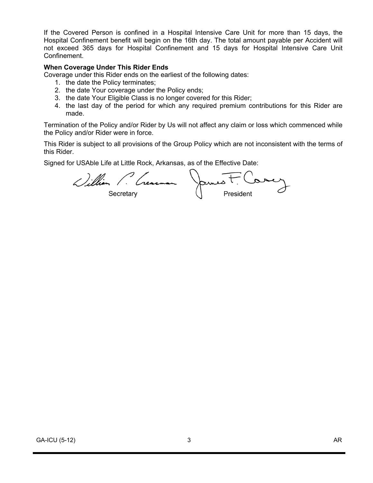If the Covered Person is confined in a Hospital Intensive Care Unit for more than 15 days, the Hospital Confinement benefit will begin on the 16th day. The total amount payable per Accident will not exceed 365 days for Hospital Confinement and 15 days for Hospital Intensive Care Unit Confinement.

### **When Coverage Under This Rider Ends**

Coverage under this Rider ends on the earliest of the following dates:

- 1. the date the Policy terminates;
- 2. the date Your coverage under the Policy ends;
- 3. the date Your Eligible Class is no longer covered for this Rider;
- 4. the last day of the period for which any required premium contributions for this Rider are made.

Termination of the Policy and/or Rider by Us will not affect any claim or loss which commenced while the Policy and/or Rider were in force.

This Rider is subject to all provisions of the Group Policy which are not inconsistent with the terms of this Rider.

Signed for USAble Life at Little Rock, Arkansas, as of the Effective Date:

William P. Crearman James t. Comey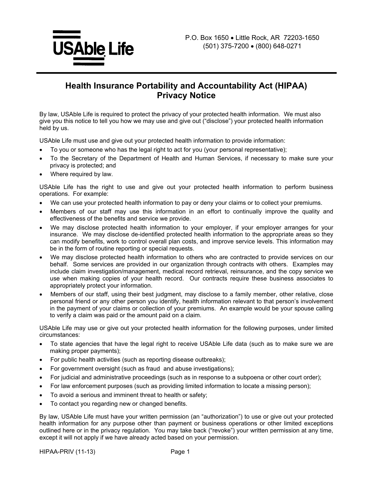

# **Health Insurance Portability and Accountability Act (HIPAA) Privacy Notice**

By law, USAble Life is required to protect the privacy of your protected health information. We must also give you this notice to tell you how we may use and give out ("disclose") your protected health information held by us.

USAble Life must use and give out your protected health information to provide information:

- · To you or someone who has the legal right to act for you (your personal representative);
- · To the Secretary of the Department of Health and Human Services, if necessary to make sure your privacy is protected; and
- Where required by law.

USAble Life has the right to use and give out your protected health information to perform business operations. For example:

- We can use your protected health information to pay or deny your claims or to collect your premiums.
- Members of our staff may use this information in an effort to continually improve the quality and effectiveness of the benefits and service we provide.
- We may disclose protected health information to your employer, if your employer arranges for your insurance. We may disclose de-identified protected health information to the appropriate areas so they can modify benefits, work to control overall plan costs, and improve service levels. This information may be in the form of routine reporting or special requests.
- We may disclose protected health information to others who are contracted to provide services on our behalf. Some services are provided in our organization through contracts with others. Examples may include claim investigation/management, medical record retrieval, reinsurance, and the copy service we use when making copies of your health record. Our contracts require these business associates to appropriately protect your information.
- Members of our staff, using their best judgment, may disclose to a family member, other relative, close personal friend or any other person you identify, health information relevant to that person's involvement in the payment of your claims or collection of your premiums. An example would be your spouse calling to verify a claim was paid or the amount paid on a claim.

USAble Life may use or give out your protected health information for the following purposes, under limited circumstances:

- · To state agencies that have the legal right to receive USAble Life data (such as to make sure we are making proper payments);
- For public health activities (such as reporting disease outbreaks);
- For government oversight (such as fraud and abuse investigations);
- · For judicial and administrative proceedings (such as in response to a subpoena or other court order);
- For law enforcement purposes (such as providing limited information to locate a missing person);
- To avoid a serious and imminent threat to health or safety;
- To contact you regarding new or changed benefits.

By law, USAble Life must have your written permission (an "authorization") to use or give out your protected health information for any purpose other than payment or business operations or other limited exceptions outlined here or in the privacy regulation. You may take back ("revoke") your written permission at any time, except it will not apply if we have already acted based on your permission.